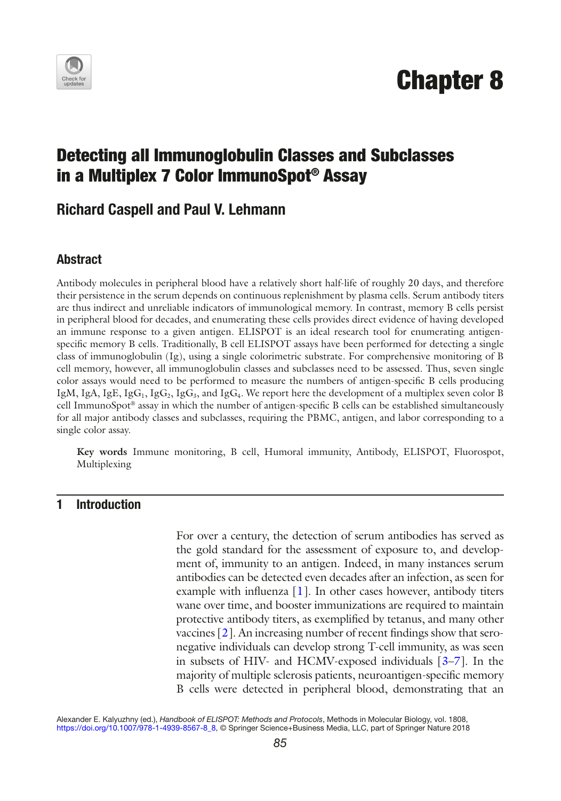

# Chapter 8

# Detecting all Immunoglobulin Classes and Subclasses in a Multiplex 7 Color ImmunoSpot® Assay

## Richard Caspell and Paul V. Lehmann

#### Abstract

Antibody molecules in peripheral blood have a relatively short half-life of roughly 20 days, and therefore their persistence in the serum depends on continuous replenishment by plasma cells. Serum antibody titers are thus indirect and unreliable indicators of immunological memory. In contrast, memory B cells persist in peripheral blood for decades, and enumerating these cells provides direct evidence of having developed an immune response to a given antigen. ELISPOT is an ideal research tool for enumerating antigenspecific memory B cells. Traditionally, B cell ELISPOT assays have been performed for detecting a single class of immunoglobulin (Ig), using a single colorimetric substrate. For comprehensive monitoring of B cell memory, however, all immunoglobulin classes and subclasses need to be assessed. Thus, seven single color assays would need to be performed to measure the numbers of antigen-specific B cells producing IgM, IgA, IgE, IgG<sub>1</sub>, IgG<sub>2</sub>, IgG<sub>3</sub>, and IgG<sub>4</sub>. We report here the development of a multiplex seven color B cell ImmunoSpot® assay in which the number of antigen-specific B cells can be established simultaneously for all major antibody classes and subclasses, requiring the PBMC, antigen, and labor corresponding to a single color assay.

**Key words** Immune monitoring, B cell, Humoral immunity, Antibody, ELISPOT, Fluorospot, Multiplexing

#### 1 Introduction

For over a century, the detection of serum antibodies has served as the gold standard for the assessment of exposure to, and development of, immunity to an antigen. Indeed, in many instances serum antibodies can be detected even decades after an infection, as seen for example with influenza  $[1]$ . In other cases however, antibody titers wane over time, and booster immunizations are required to maintain protective antibody titers, as exemplified by tetanus, and many other vaccines [2]. An increasing number of recent findings show that seronegative individuals can develop strong T-cell immunity, as was seen in subsets of HIV- and HCMV-exposed individuals [3–7]. In the majority of multiple sclerosis patients, neuroantigen-specific memory B cells were detected in peripheral blood, demonstrating that an

Alexander E. Kalyuzhny (ed.), *Handbook of ELISPOT: Methods and Protocols*, Methods in Molecular Biology, vol. 1808, https://doi.org/10.1007/978-1-4939-8567-8\_8, © Springer Science+Business Media, LLC, part of Springer Nature 2018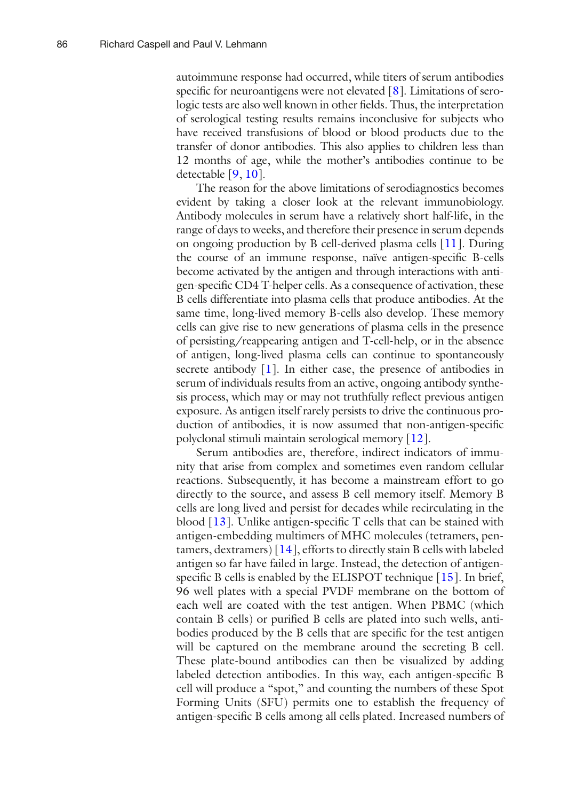autoimmune response had occurred, while titers of serum antibodies specific for neuroantigens were not elevated  $[8]$ . Limitations of serologic tests are also well known in other fields. Thus, the interpretation of serological testing results remains inconclusive for subjects who have received transfusions of blood or blood products due to the transfer of donor antibodies. This also applies to children less than 12 months of age, while the mother's antibodies continue to be detectable [9, 10].

The reason for the above limitations of serodiagnostics becomes evident by taking a closer look at the relevant immunobiology. Antibody molecules in serum have a relatively short half-life, in the range of days to weeks, and therefore their presence in serum depends on ongoing production by B cell-derived plasma cells [11]. During the course of an immune response, naïve antigen-specific B-cells become activated by the antigen and through interactions with antigen-specific CD4 T-helper cells. As a consequence of activation, these B cells differentiate into plasma cells that produce antibodies. At the same time, long-lived memory B-cells also develop. These memory cells can give rise to new generations of plasma cells in the presence of persisting/reappearing antigen and T-cell-help, or in the absence of antigen, long-lived plasma cells can continue to spontaneously secrete antibody [1]. In either case, the presence of antibodies in serum of individuals results from an active, ongoing antibody synthesis process, which may or may not truthfully reflect previous antigen exposure. As antigen itself rarely persists to drive the continuous production of antibodies, it is now assumed that non-antigen-specific polyclonal stimuli maintain serological memory [12].

Serum antibodies are, therefore, indirect indicators of immunity that arise from complex and sometimes even random cellular reactions. Subsequently, it has become a mainstream effort to go directly to the source, and assess B cell memory itself. Memory B cells are long lived and persist for decades while recirculating in the blood  $[13]$ . Unlike antigen-specific T cells that can be stained with antigen-embedding multimers of MHC molecules (tetramers, pentamers, dextramers)  $[14]$ , efforts to directly stain B cells with labeled antigen so far have failed in large. Instead, the detection of antigenspecific B cells is enabled by the ELISPOT technique [15]. In brief, 96 well plates with a special PVDF membrane on the bottom of each well are coated with the test antigen. When PBMC (which contain B cells) or purified B cells are plated into such wells, antibodies produced by the B cells that are specific for the test antigen will be captured on the membrane around the secreting B cell. These plate-bound antibodies can then be visualized by adding labeled detection antibodies. In this way, each antigen-specific B cell will produce a "spot," and counting the numbers of these Spot Forming Units (SFU) permits one to establish the frequency of antigen-specific B cells among all cells plated. Increased numbers of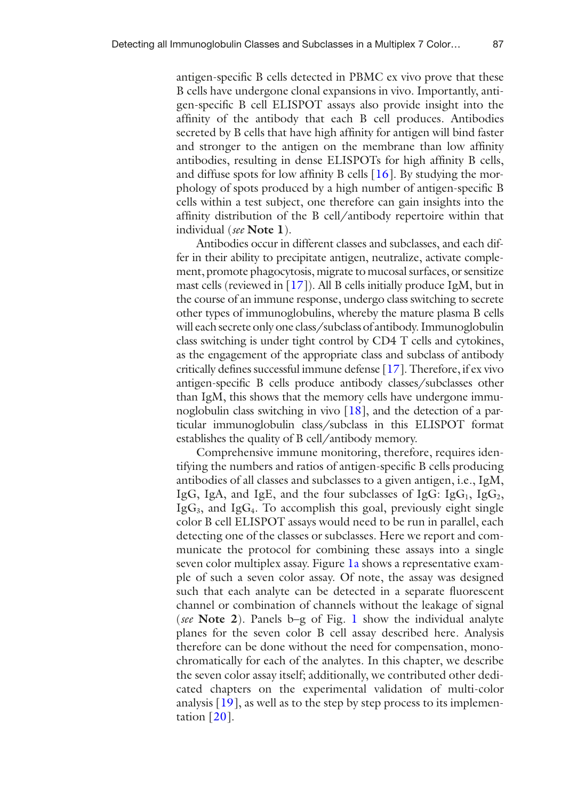antigen-specific B cells detected in PBMC ex vivo prove that these B cells have undergone clonal expansions in vivo. Importantly, antigen-specific B cell ELISPOT assays also provide insight into the affinity of the antibody that each B cell produces. Antibodies secreted by B cells that have high affinity for antigen will bind faster and stronger to the antigen on the membrane than low affinity antibodies, resulting in dense ELISPOTs for high affinity B cells, and diffuse spots for low affinity B cells [16]. By studying the morphology of spots produced by a high number of antigen-specific B cells within a test subject, one therefore can gain insights into the affinity distribution of the B cell/antibody repertoire within that individual (*see* **Note 1**).

Antibodies occur in different classes and subclasses, and each differ in their ability to precipitate antigen, neutralize, activate complement, promote phagocytosis, migrate to mucosal surfaces, or sensitize mast cells (reviewed in  $[17]$ ). All B cells initially produce IgM, but in the course of an immune response, undergo class switching to secrete other types of immunoglobulins, whereby the mature plasma B cells will each secrete only one class/subclass of antibody. Immunoglobulin class switching is under tight control by CD4 T cells and cytokines, as the engagement of the appropriate class and subclass of antibody critically defines successful immune defense [17]. Therefore, if ex vivo antigen-specific B cells produce antibody classes/subclasses other than IgM, this shows that the memory cells have undergone immunoglobulin class switching in vivo [18], and the detection of a particular immunoglobulin class/subclass in this ELISPOT format establishes the quality of B cell/antibody memory.

Comprehensive immune monitoring, therefore, requires identifying the numbers and ratios of antigen-specific B cells producing antibodies of all classes and subclasses to a given antigen, i.e., IgM, IgG, IgA, and IgE, and the four subclasses of IgG: IgG<sub>1</sub>, IgG<sub>2</sub>,  $IgG<sub>3</sub>$ , and  $IgG<sub>4</sub>$ . To accomplish this goal, previously eight single color B cell ELISPOT assays would need to be run in parallel, each detecting one of the classes or subclasses. Here we report and communicate the protocol for combining these assays into a single seven color multiplex assay. Figure 1a shows a representative example of such a seven color assay. Of note, the assay was designed such that each analyte can be detected in a separate fluorescent channel or combination of channels without the leakage of signal (*see* **Note 2**). Panels b–g of Fig. 1 show the individual analyte planes for the seven color B cell assay described here. Analysis therefore can be done without the need for compensation, monochromatically for each of the analytes. In this chapter, we describe the seven color assay itself; additionally, we contributed other dedicated chapters on the experimental validation of multi-color analysis [19], as well as to the step by step process to its implementation  $[20]$ .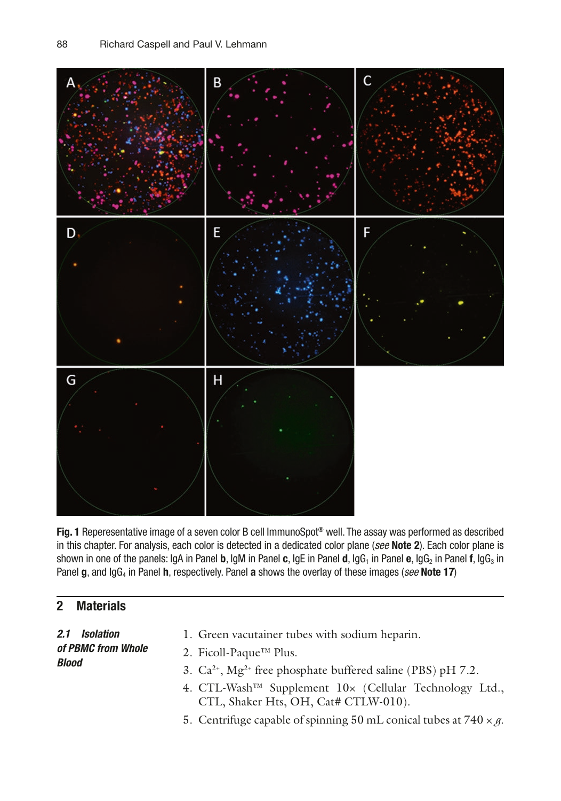

Fig. 1 Reperesentative image of a seven color B cell ImmunoSpot<sup>®</sup> well. The assay was performed as described in this chapter. For analysis, each color is detected in a dedicated color plane (*see* Note 2). Each color plane is shown in one of the panels: IgA in Panel b, IgM in Panel c, IgE in Panel d, IgG<sub>1</sub> in Panel e, IgG<sub>2</sub> in Panel f, IgG<sub>3</sub> in Panel g, and IgG<sub>4</sub> in Panel h, respectively. Panel a shows the overlay of these images (*see* Note 17)

### 2 Materials

*2.1 Isolation of PBMC from Whole Blood*

- 1. Green vacutainer tubes with sodium heparin.
- 2. Ficoll-Paque™ Plus.
- 3.  $Ca^{2+}$ ,  $Mg^{2+}$  free phosphate buffered saline (PBS) pH 7.2.
- 4. CTL-Wash™ Supplement 10× (Cellular Technology Ltd., CTL, Shaker Hts, OH, Cat# CTLW-010).
- 5. Centrifuge capable of spinning 50 mL conical tubes at  $740 \times g$ .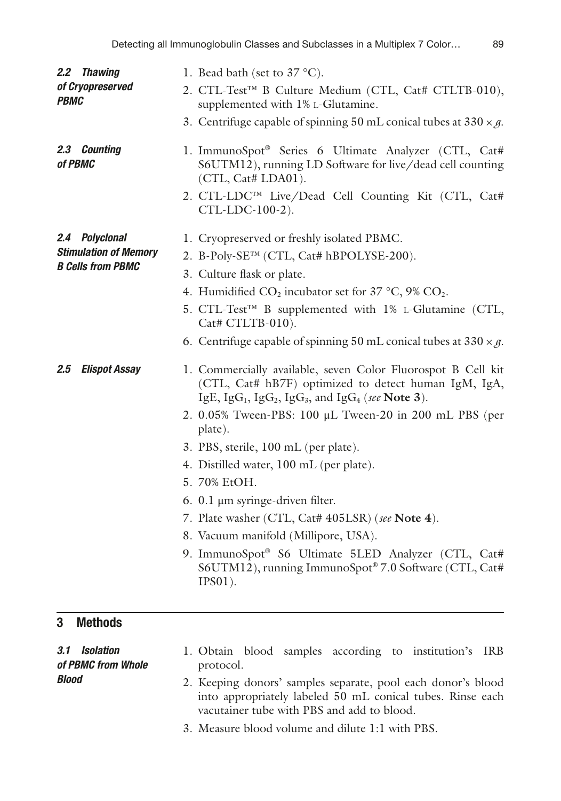| 2.2 Thawing<br>of Cryopreserved<br><b>PBMC</b>                             | 1. Bead bath (set to $37^{\circ}$ C).<br>2. CTL-Test™ B Culture Medium (CTL, Cat# CTLTB-010),<br>supplemented with 1% L-Glutamine.<br>3. Centrifuge capable of spinning 50 mL conical tubes at $330 \times g$ .                                                                                                                                                                                                                                                                                                                                                                                                                                                                                                                                  |
|----------------------------------------------------------------------------|--------------------------------------------------------------------------------------------------------------------------------------------------------------------------------------------------------------------------------------------------------------------------------------------------------------------------------------------------------------------------------------------------------------------------------------------------------------------------------------------------------------------------------------------------------------------------------------------------------------------------------------------------------------------------------------------------------------------------------------------------|
| 2.3 Counting<br>of PBMC                                                    | 1. ImmunoSpot® Series 6 Ultimate Analyzer (CTL, Cat#<br>S6UTM12), running LD Software for live/dead cell counting<br>(CTL, Cat# LDA01).<br>2. CTL-LDC™ Live/Dead Cell Counting Kit (CTL, Cat#<br>CTL-LDC-100-2).                                                                                                                                                                                                                                                                                                                                                                                                                                                                                                                                 |
| 2.4 Polyclonal<br><b>Stimulation of Memory</b><br><b>B Cells from PBMC</b> | 1. Cryopreserved or freshly isolated PBMC.<br>2. B-Poly-SE <sup>TM</sup> (CTL, Cat# hBPOLYSE-200).<br>3. Culture flask or plate.<br>4. Humidified CO <sub>2</sub> incubator set for 37 °C, 9% CO <sub>2</sub> .<br>5. CTL-Test™ B supplemented with 1% L-Glutamine (CTL,<br>Cat# CTLTB-010).                                                                                                                                                                                                                                                                                                                                                                                                                                                     |
| <b>Elispot Assay</b><br>$2.5\,$                                            | 6. Centrifuge capable of spinning 50 mL conical tubes at $330 \times g$ .<br>1. Commercially available, seven Color Fluorospot B Cell kit<br>(CTL, Cat# hB7F) optimized to detect human IgM, IgA,<br>IgE, IgG <sub>1</sub> , IgG <sub>2</sub> , IgG <sub>3</sub> , and IgG <sub>4</sub> (see Note 3).<br>2. 0.05% Tween-PBS: 100 μL Tween-20 in 200 mL PBS (per<br>plate).<br>3. PBS, sterile, 100 mL (per plate).<br>4. Distilled water, 100 mL (per plate).<br>5. 70% EtOH.<br>6. $0.1 \mu m$ syringe-driven filter.<br>7. Plate washer (CTL, Cat# 405LSR) (see Note 4).<br>8. Vacuum manifold (Millipore, USA).<br>9. ImmunoSpot® S6 Ultimate 5LED Analyzer (CTL, Cat#<br>S6UTM12), running ImmunoSpot® 7.0 Software (CTL, Cat#<br>$IPS01$ ). |
| <b>Methods</b><br>3<br><b>Isolation</b><br>3.1                             | 1. Obtain blood samples according to institution's<br>IRB                                                                                                                                                                                                                                                                                                                                                                                                                                                                                                                                                                                                                                                                                        |
| of PBMC from Whole                                                         | protocol.                                                                                                                                                                                                                                                                                                                                                                                                                                                                                                                                                                                                                                                                                                                                        |

2. Keeping donors' samples separate, pool each donor's blood into appropriately labeled 50 mL conical tubes. Rinse each vacutainer tube with PBS and add to blood.

3. Measure blood volume and dilute 1:1 with PBS.

*Blood*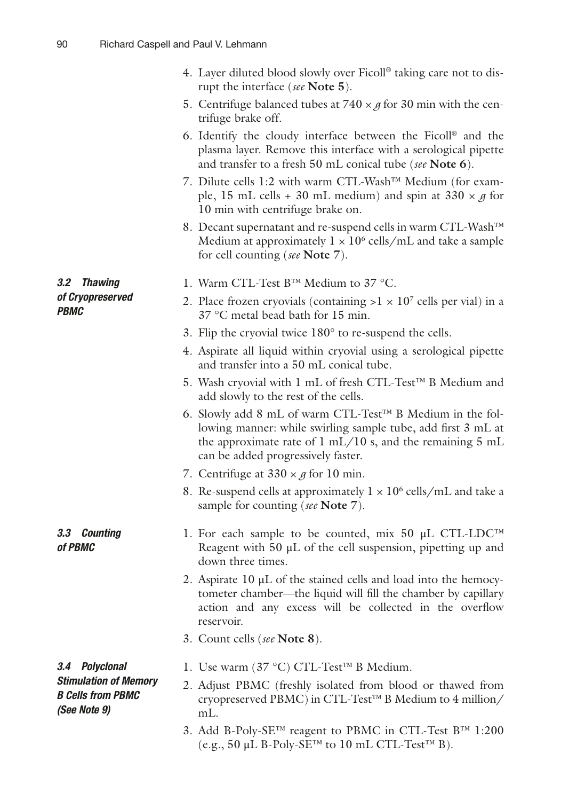|                                                                          | 4. Layer diluted blood slowly over Ficoll® taking care not to dis-<br>rupt the interface (see Note 5).                                                                                                                                          |
|--------------------------------------------------------------------------|-------------------------------------------------------------------------------------------------------------------------------------------------------------------------------------------------------------------------------------------------|
|                                                                          | 5. Centrifuge balanced tubes at $740 \times g$ for 30 min with the cen-<br>trifuge brake off.                                                                                                                                                   |
|                                                                          | 6. Identify the cloudy interface between the Ficoll <sup>®</sup> and the<br>plasma layer. Remove this interface with a serological pipette<br>and transfer to a fresh 50 mL conical tube (see Note 6).                                          |
|                                                                          | 7. Dilute cells 1:2 with warm CTL-Wash™ Medium (for exam-<br>ple, 15 mL cells + 30 mL medium) and spin at $330 \times g$ for<br>10 min with centrifuge brake on.                                                                                |
|                                                                          | 8. Decant supernatant and re-suspend cells in warm CTL-Wash™<br>Medium at approximately $1 \times 10^6$ cells/mL and take a sample<br>for cell counting (see Note 7).                                                                           |
| 3.2<br><b>Thawing</b>                                                    | 1. Warm CTL-Test B™ Medium to 37 °C.                                                                                                                                                                                                            |
| of Cryopreserved<br><b>PBMC</b>                                          | 2. Place frozen cryovials (containing $>1 \times 10^7$ cells per vial) in a<br>37 °C metal bead bath for 15 min.                                                                                                                                |
|                                                                          | 3. Flip the cryovial twice 180° to re-suspend the cells.                                                                                                                                                                                        |
|                                                                          | 4. Aspirate all liquid within cryovial using a serological pipette<br>and transfer into a 50 mL conical tube.                                                                                                                                   |
|                                                                          | 5. Wash cryovial with 1 mL of fresh CTL-Test™ B Medium and<br>add slowly to the rest of the cells.                                                                                                                                              |
|                                                                          | 6. Slowly add 8 mL of warm CTL-Test™ B Medium in the fol-<br>lowing manner: while swirling sample tube, add first 3 mL at<br>the approximate rate of $1 \text{ mL}/10 \text{ s}$ , and the remaining 5 mL<br>can be added progressively faster. |
|                                                                          | 7. Centrifuge at $330 \times g$ for 10 min.                                                                                                                                                                                                     |
|                                                                          | 8. Re-suspend cells at approximately $1 \times 10^6$ cells/mL and take a<br>sample for counting (see Note 7).                                                                                                                                   |
| 3.3 Counting<br>of PBMC                                                  | 1. For each sample to be counted, mix 50 $\mu$ L CTL-LDC <sup>TM</sup><br>Reagent with $50 \mu L$ of the cell suspension, pipetting up and<br>down three times.                                                                                 |
|                                                                          | 2. Aspirate $10 \mu L$ of the stained cells and load into the hemocy-<br>tometer chamber—the liquid will fill the chamber by capillary<br>action and any excess will be collected in the overflow<br>reservoir.                                 |
|                                                                          | 3. Count cells (see Note 8).                                                                                                                                                                                                                    |
| 3.4 Polyclonal                                                           | 1. Use warm (37 °C) CTL-Test™ B Medium.                                                                                                                                                                                                         |
| <b>Stimulation of Memory</b><br><b>B Cells from PBMC</b><br>(See Note 9) | 2. Adjust PBMC (freshly isolated from blood or thawed from<br>cryopreserved PBMC) in CTL-Test™ B Medium to 4 million/<br>mL.                                                                                                                    |
|                                                                          | 3. Add B-Poly-SE™ reagent to PBMC in CTL-Test B™ 1:200<br>(e.g., 50 µL B-Poly-SE™ to 10 mL CTL-Test™ B).                                                                                                                                        |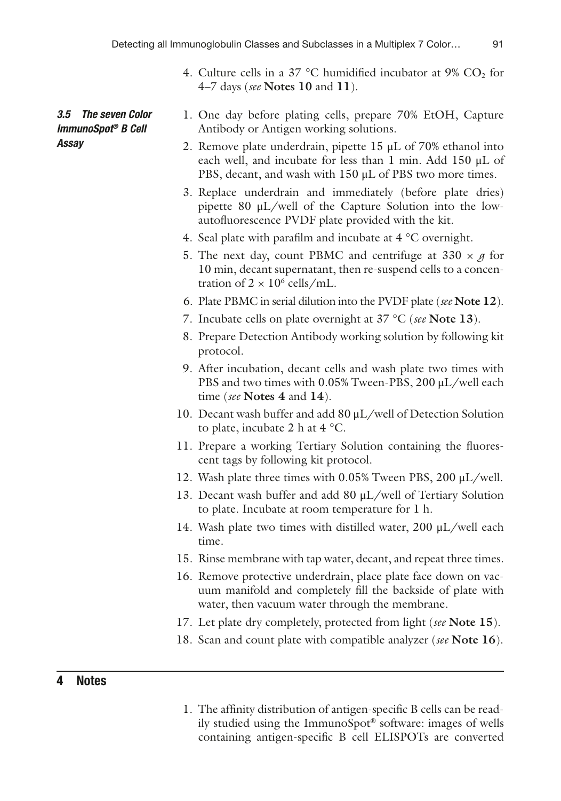- 4. Culture cells in a 37 °C humidified incubator at 9%  $CO<sub>2</sub>$  for 4–7 days (*see* **Notes 10** and **11**).
- 1. One day before plating cells, prepare 70% EtOH, Capture Antibody or Antigen working solutions.
- 2. Remove plate underdrain, pipette 15 μL of 70% ethanol into each well, and incubate for less than 1 min. Add 150 μL of PBS, decant, and wash with 150 μL of PBS two more times.
- 3. Replace underdrain and immediately (before plate dries) pipette 80 μL/well of the Capture Solution into the lowautofluorescence PVDF plate provided with the kit.
- 4. Seal plate with parafilm and incubate at 4 °C overnight.
- 5. The next day, count PBMC and centrifuge at  $330 \times g$  for 10 min, decant supernatant, then re-suspend cells to a concentration of  $2 \times 10^6$  cells/mL.
- 6. Plate PBMC in serial dilution into the PVDF plate (*see* **Note 12**).
- 7. Incubate cells on plate overnight at 37 °C (*see* **Note 13**).
- 8. Prepare Detection Antibody working solution by following kit protocol.
- 9. After incubation, decant cells and wash plate two times with PBS and two times with 0.05% Tween-PBS, 200 μL/well each time (*see* **Notes 4** and **14**).
- 10. Decant wash buffer and add 80 μL/well of Detection Solution to plate, incubate 2 h at  $4^{\circ}$ C.
- 11. Prepare a working Tertiary Solution containing the fluorescent tags by following kit protocol.
- 12. Wash plate three times with 0.05% Tween PBS, 200 μL/well.
- 13. Decant wash buffer and add 80 μL/well of Tertiary Solution to plate. Incubate at room temperature for 1 h.
- 14. Wash plate two times with distilled water, 200 μL/well each time.
- 15. Rinse membrane with tap water, decant, and repeat three times.
- 16. Remove protective underdrain, place plate face down on vacuum manifold and completely fill the backside of plate with water, then vacuum water through the membrane.
- 17. Let plate dry completely, protected from light (*see* **Note 15**).
- 18. Scan and count plate with compatible analyzer (*see* **Note 16**).

#### 4 Notes

*3.5 The seven Color ImmunoSpot® B Cell* 

*Assay*

1. The affinity distribution of antigen-specific B cells can be readily studied using the ImmunoSpot® software: images of wells containing antigen-specific B cell ELISPOTs are converted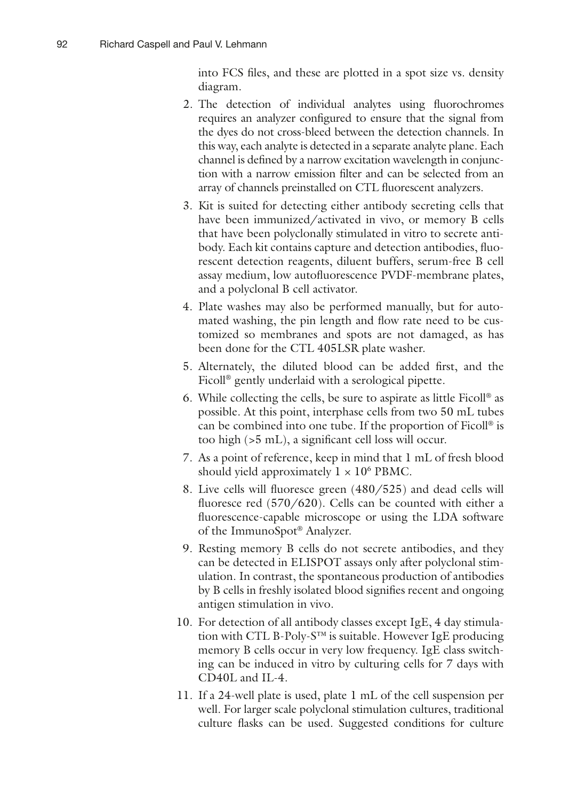into FCS files, and these are plotted in a spot size vs. density diagram.

- 2. The detection of individual analytes using fluorochromes requires an analyzer configured to ensure that the signal from the dyes do not cross-bleed between the detection channels. In this way, each analyte is detected in a separate analyte plane. Each channel is defined by a narrow excitation wavelength in conjunction with a narrow emission filter and can be selected from an array of channels preinstalled on CTL fluorescent analyzers.
- 3. Kit is suited for detecting either antibody secreting cells that have been immunized/activated in vivo, or memory B cells that have been polyclonally stimulated in vitro to secrete antibody. Each kit contains capture and detection antibodies, fluorescent detection reagents, diluent buffers, serum-free B cell assay medium, low autofluorescence PVDF-membrane plates, and a polyclonal B cell activator.
- 4. Plate washes may also be performed manually, but for automated washing, the pin length and flow rate need to be customized so membranes and spots are not damaged, as has been done for the CTL 405LSR plate washer.
- 5. Alternately, the diluted blood can be added first, and the Ficoll® gently underlaid with a serological pipette.
- 6. While collecting the cells, be sure to aspirate as little Ficoll® as possible. At this point, interphase cells from two 50 mL tubes can be combined into one tube. If the proportion of Ficoll® is too high (>5 mL), a significant cell loss will occur.
- 7. As a point of reference, keep in mind that 1 mL of fresh blood should yield approximately  $1 \times 10^6$  PBMC.
- 8. Live cells will fluoresce green (480/525) and dead cells will fluoresce red (570/620). Cells can be counted with either a fluorescence-capable microscope or using the LDA software of the ImmunoSpot® Analyzer.
- 9. Resting memory B cells do not secrete antibodies, and they can be detected in ELISPOT assays only after polyclonal stimulation. In contrast, the spontaneous production of antibodies by B cells in freshly isolated blood signifies recent and ongoing antigen stimulation in vivo.
- 10. For detection of all antibody classes except IgE, 4 day stimulation with CTL B-Poly-S™ is suitable. However IgE producing memory B cells occur in very low frequency. IgE class switching can be induced in vitro by culturing cells for 7 days with CD40L and IL-4.
- 11. If a 24-well plate is used, plate 1 mL of the cell suspension per well. For larger scale polyclonal stimulation cultures, traditional culture flasks can be used. Suggested conditions for culture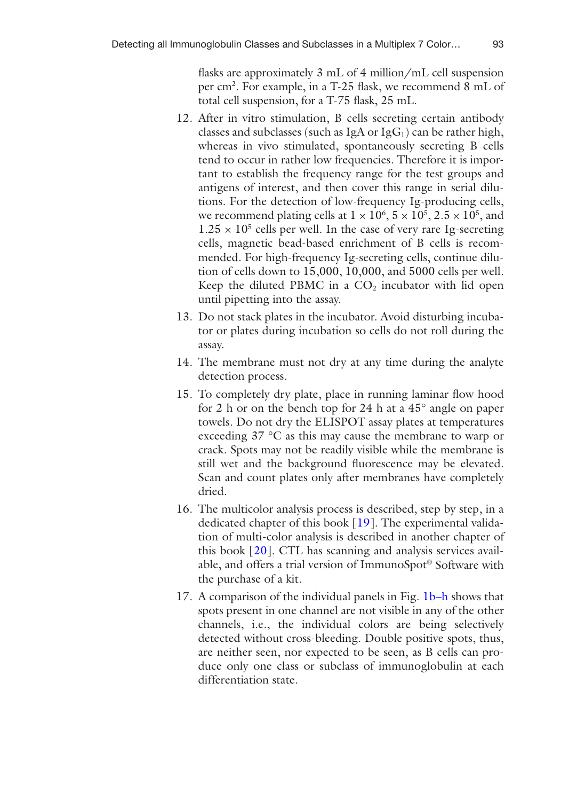flasks are approximately 3 mL of 4 million/mL cell suspension per cm<sup>2</sup>. For example, in a T-25 flask, we recommend 8 mL of total cell suspension, for a T-75 flask, 25 mL.

- 12. After in vitro stimulation, B cells secreting certain antibody classes and subclasses (such as IgA or  $IgG<sub>1</sub>$ ) can be rather high, whereas in vivo stimulated, spontaneously secreting B cells tend to occur in rather low frequencies. Therefore it is important to establish the frequency range for the test groups and antigens of interest, and then cover this range in serial dilutions. For the detection of low-frequency Ig-producing cells, we recommend plating cells at  $1 \times 10^6$ ,  $5 \times 10^5$ ,  $2.5 \times 10^5$ , and  $1.25 \times 10^5$  cells per well. In the case of very rare Ig-secreting cells, magnetic bead-based enrichment of B cells is recommended. For high-frequency Ig-secreting cells, continue dilution of cells down to 15,000, 10,000, and 5000 cells per well. Keep the diluted PBMC in a  $CO<sub>2</sub>$  incubator with lid open until pipetting into the assay.
- 13. Do not stack plates in the incubator. Avoid disturbing incubator or plates during incubation so cells do not roll during the assay.
- 14. The membrane must not dry at any time during the analyte detection process.
- 15. To completely dry plate, place in running laminar flow hood for 2 h or on the bench top for 24 h at a 45° angle on paper towels. Do not dry the ELISPOT assay plates at temperatures exceeding 37 °C as this may cause the membrane to warp or crack. Spots may not be readily visible while the membrane is still wet and the background fluorescence may be elevated. Scan and count plates only after membranes have completely dried.
- 16. The multicolor analysis process is described, step by step, in a dedicated chapter of this book [19]. The experimental validation of multi-color analysis is described in another chapter of this book [20]. CTL has scanning and analysis services available, and offers a trial version of ImmunoSpot® Software with the purchase of a kit.
- 17. A comparison of the individual panels in Fig. 1b–h shows that spots present in one channel are not visible in any of the other channels, i.e., the individual colors are being selectively detected without cross-bleeding. Double positive spots, thus, are neither seen, nor expected to be seen, as B cells can produce only one class or subclass of immunoglobulin at each differentiation state.